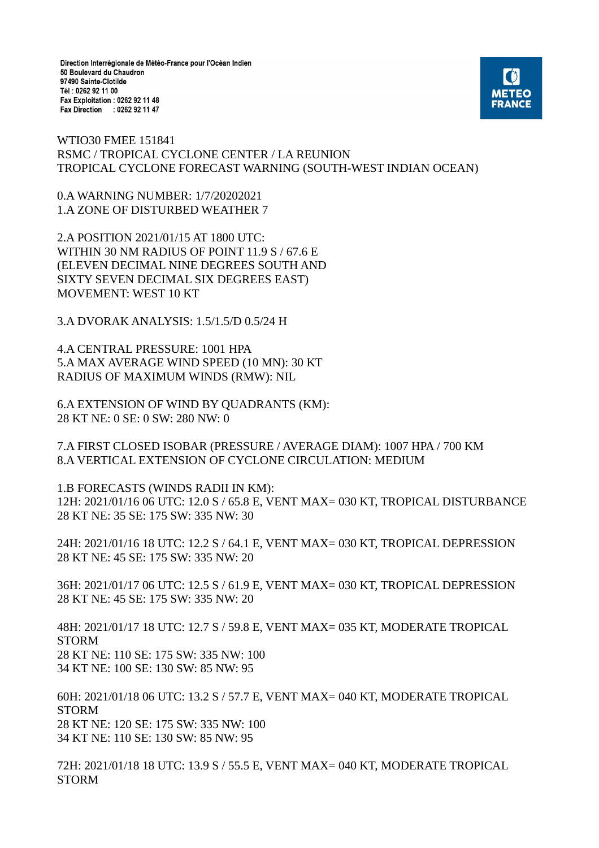Direction Interrégionale de Météo-France pour l'Océan Indien 50 Boulevard du Chaudron 97490 Sainte-Clotilde Tél: 0262 92 11 00 Fax Exploitation : 0262 92 11 48 Fax Direction : 0262 92 11 47



WTIO30 FMEE 151841 RSMC / TROPICAL CYCLONE CENTER / LA REUNION TROPICAL CYCLONE FORECAST WARNING (SOUTH-WEST INDIAN OCEAN)

0.A WARNING NUMBER: 1/7/20202021 1.A ZONE OF DISTURBED WEATHER 7

2.A POSITION 2021/01/15 AT 1800 UTC: WITHIN 30 NM RADIUS OF POINT 11.9 S / 67.6 E (ELEVEN DECIMAL NINE DEGREES SOUTH AND SIXTY SEVEN DECIMAL SIX DEGREES EAST) MOVEMENT: WEST 10 KT

3.A DVORAK ANALYSIS: 1.5/1.5/D 0.5/24 H

4.A CENTRAL PRESSURE: 1001 HPA 5.A MAX AVERAGE WIND SPEED (10 MN): 30 KT RADIUS OF MAXIMUM WINDS (RMW): NIL

6.A EXTENSION OF WIND BY QUADRANTS (KM): 28 KT NE: 0 SE: 0 SW: 280 NW: 0

7.A FIRST CLOSED ISOBAR (PRESSURE / AVERAGE DIAM): 1007 HPA / 700 KM 8.A VERTICAL EXTENSION OF CYCLONE CIRCULATION: MEDIUM

1.B FORECASTS (WINDS RADII IN KM): 12H: 2021/01/16 06 UTC: 12.0 S / 65.8 E, VENT MAX= 030 KT, TROPICAL DISTURBANCE 28 KT NE: 35 SE: 175 SW: 335 NW: 30

24H: 2021/01/16 18 UTC: 12.2 S / 64.1 E, VENT MAX= 030 KT, TROPICAL DEPRESSION 28 KT NE: 45 SE: 175 SW: 335 NW: 20

36H: 2021/01/17 06 UTC: 12.5 S / 61.9 E, VENT MAX= 030 KT, TROPICAL DEPRESSION 28 KT NE: 45 SE: 175 SW: 335 NW: 20

48H: 2021/01/17 18 UTC: 12.7 S / 59.8 E, VENT MAX= 035 KT, MODERATE TROPICAL STORM 28 KT NE: 110 SE: 175 SW: 335 NW: 100 34 KT NE: 100 SE: 130 SW: 85 NW: 95

60H: 2021/01/18 06 UTC: 13.2 S / 57.7 E, VENT MAX= 040 KT, MODERATE TROPICAL STORM 28 KT NE: 120 SE: 175 SW: 335 NW: 100 34 KT NE: 110 SE: 130 SW: 85 NW: 95

72H: 2021/01/18 18 UTC: 13.9 S / 55.5 E, VENT MAX= 040 KT, MODERATE TROPICAL STORM